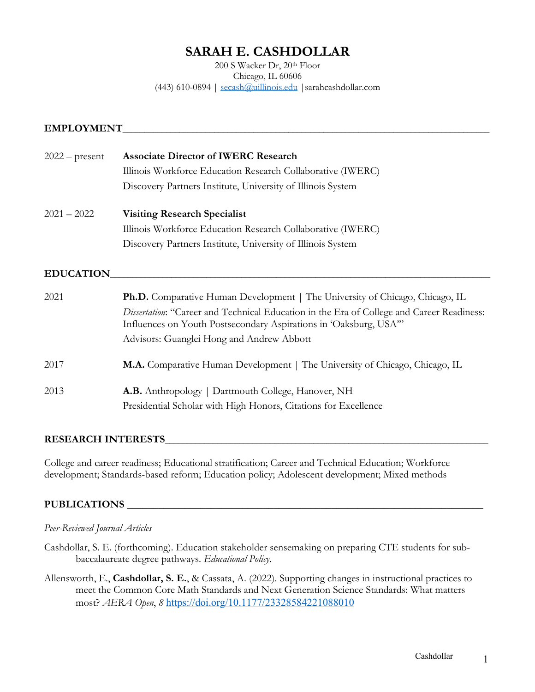# **SARAH E. CASHDOLLAR**

200 S Wacker Dr, 20th Floor Chicago, IL 60606 (443) 610-0894 | secash@uillinois.edu |sarahcashdollar.com

#### EMPLOYMENT

| $2022$ – present | <b>Associate Director of IWERC Research</b>                                                                                                                   |
|------------------|---------------------------------------------------------------------------------------------------------------------------------------------------------------|
|                  | Illinois Workforce Education Research Collaborative (IWERC)                                                                                                   |
|                  | Discovery Partners Institute, University of Illinois System                                                                                                   |
| $2021 - 2022$    | <b>Visiting Research Specialist</b>                                                                                                                           |
|                  | Illinois Workforce Education Research Collaborative (IWERC)                                                                                                   |
|                  | Discovery Partners Institute, University of Illinois System                                                                                                   |
| <b>EDUCATION</b> |                                                                                                                                                               |
| 2021             | <b>Ph.D.</b> Comparative Human Development   The University of Chicago, Chicago, IL                                                                           |
|                  | Dissertation: "Career and Technical Education in the Era of College and Career Readiness:<br>Influences on Youth Postsecondary Aspirations in 'Oaksburg, USA" |
|                  | Advisors: Guanglei Hong and Andrew Abbott                                                                                                                     |
| 2017             | M.A. Comparative Human Development   The University of Chicago, Chicago, IL                                                                                   |
| 2013             | <b>A.B.</b> Anthropology   Dartmouth College, Hanover, NH                                                                                                     |
|                  | Presidential Scholar with High Honors, Citations for Excellence                                                                                               |

#### **RESEARCH INTERESTS\_\_\_\_\_\_\_\_\_\_\_\_\_\_\_\_\_\_\_\_\_\_\_\_\_\_\_\_\_\_\_\_\_\_\_\_\_\_\_\_\_\_\_\_\_\_\_\_\_\_\_\_\_\_\_\_\_\_\_\_\_\_\_\_\_\_\_\_\_\_\_\_\_\_**

College and career readiness; Educational stratification; Career and Technical Education; Workforce development; Standards-based reform; Education policy; Adolescent development; Mixed methods

# **PUBLICATIONS \_\_\_\_\_\_\_\_\_\_\_\_\_\_\_\_\_\_\_\_\_\_\_\_\_\_\_\_\_\_\_\_\_\_\_**\_\_\_\_\_\_\_\_\_\_\_\_\_\_\_\_\_\_\_\_\_\_\_\_\_\_\_\_\_\_\_\_\_

#### *Peer-Reviewed Journal Articles*

- Cashdollar, S. E. (forthcoming). Education stakeholder sensemaking on preparing CTE students for subbaccalaureate degree pathways. *Educational Policy*.
- Allensworth, E., **Cashdollar, S. E.**, & Cassata, A. (2022). Supporting changes in instructional practices to meet the Common Core Math Standards and Next Generation Science Standards: What matters most? *AERA Open*, *8* https://doi.org/10.1177/23328584221088010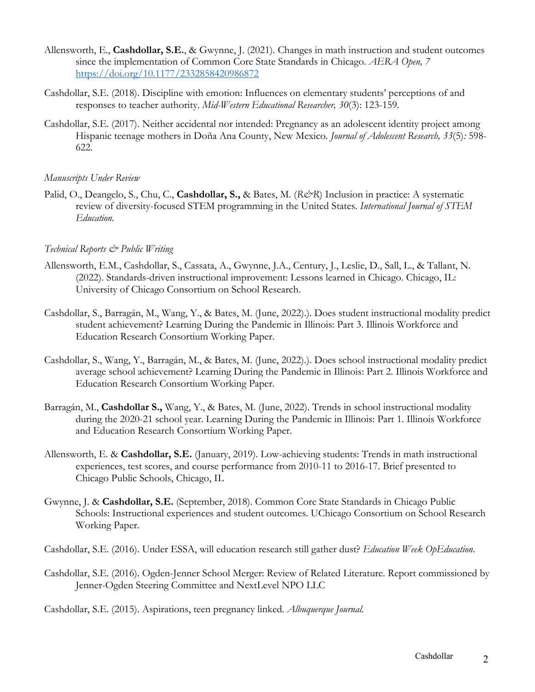- Allensworth, E., **Cashdollar, S.E.**, & Gwynne, J. (2021)*.* Changes in math instruction and student outcomes since the implementation of Common Core State Standards in Chicago. *AERA Open, 7*  https://doi.org/10.1177/2332858420986872
- Cashdollar, S.E. (2018). Discipline with emotion: Influences on elementary students' perceptions of and responses to teacher authority. *Mid-Western Educational Researcher, 30*(3): 123-159*.*
- Cashdollar, S.E. (2017). Neither accidental nor intended: Pregnancy as an adolescent identity project among Hispanic teenage mothers in Doña Ana County, New Mexico. *Journal of Adolescent Research, 33*(5)*:* 598- 622*.*

### *Manuscripts Under Review*

Palid, O., Deangelo, S., Chu, C., Cashdollar, S., & Bates, M. (*R&R*) Inclusion in practice: A systematic review of diversity-focused STEM programming in the United States. *International Journal of STEM Education.*

### *Technical Reports & Public Writing*

- Allensworth, E.M., Cashdollar, S., Cassata, A., Gwynne, J.A., Century, J., Leslie, D., Sall, L., & Tallant, N. (2022). Standards-driven instructional improvement: Lessons learned in Chicago. Chicago, IL: University of Chicago Consortium on School Research.
- Cashdollar, S., Barragán, M., Wang, Y., & Bates, M. (June, 2022).). Does student instructional modality predict student achievement? Learning During the Pandemic in Illinois: Part 3. Illinois Workforce and Education Research Consortium Working Paper.
- Cashdollar, S., Wang, Y., Barragán, M., & Bates, M. (June, 2022).). Does school instructional modality predict average school achievement? Learning During the Pandemic in Illinois: Part 2. Illinois Workforce and Education Research Consortium Working Paper.
- Barragán, M., **Cashdollar S.,** Wang, Y., & Bates, M. (June, 2022). Trends in school instructional modality during the 2020-21 school year. Learning During the Pandemic in Illinois: Part 1. Illinois Workforce and Education Research Consortium Working Paper.
- Allensworth, E. & **Cashdollar, S.E.** (January, 2019). Low-achieving students: Trends in math instructional experiences, test scores, and course performance from 2010-11 to 2016-17. Brief presented to Chicago Public Schools, Chicago, IL
- Gwynne, J. & **Cashdollar, S.E.** (September, 2018). Common Core State Standards in Chicago Public Schools: Instructional experiences and student outcomes. UChicago Consortium on School Research Working Paper.

Cashdollar, S.E. (2016). Under ESSA, will education research still gather dust? *Education Week OpEducation*.

Cashdollar, S.E. (2016). Ogden-Jenner School Merger: Review of Related Literature. Report commissioned by Jenner-Ogden Steering Committee and NextLevel NPO LLC

Cashdollar, S.E. (2015). Aspirations, teen pregnancy linked. *Albuquerque Journal.*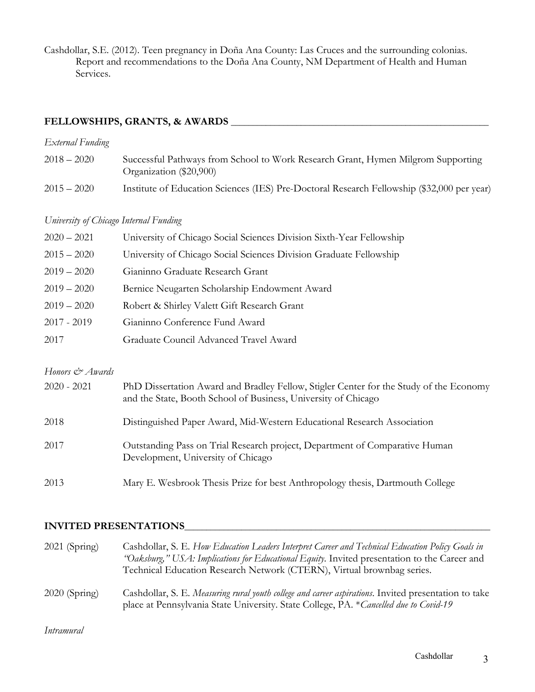Cashdollar, S.E. (2012). Teen pregnancy in Doña Ana County: Las Cruces and the surrounding colonias. Report and recommendations to the Doña Ana County, NM Department of Health and Human Services.

# **FELLOWSHIPS, GRANTS, & AWARDS** \_\_\_\_\_\_\_\_\_\_\_\_\_\_\_\_\_\_\_\_\_\_\_\_\_\_\_\_\_\_\_\_\_\_\_\_\_\_\_\_\_\_\_\_\_\_\_\_\_\_\_\_\_\_\_\_\_\_\_

# *External Funding*

| $2018 - 2020$ | Successful Pathways from School to Work Research Grant, Hymen Milgrom Supporting<br>Organization (\$20,900) |
|---------------|-------------------------------------------------------------------------------------------------------------|
| $2015 - 2020$ | Institute of Education Sciences (IES) Pre-Doctoral Research Fellowship (\$32,000 per year)                  |

#### *University of Chicago Internal Funding*

| University of Chicago Social Sciences Division Graduate Fellowship<br>$2015 - 2020$ |
|-------------------------------------------------------------------------------------|
|                                                                                     |
| $2019 - 2020$<br>Gianinno Graduate Research Grant                                   |
| $2019 - 2020$<br>Bernice Neugarten Scholarship Endowment Award                      |
| $2019 - 2020$<br>Robert & Shirley Valett Gift Research Grant                        |
| $2017 - 2019$<br>Gianinno Conference Fund Award                                     |
| Graduate Council Advanced Travel Award<br>2017                                      |

### *Honors & Awards*

| $2020 - 2021$ | PhD Dissertation Award and Bradley Fellow, Stigler Center for the Study of the Economy<br>and the State, Booth School of Business, University of Chicago |
|---------------|----------------------------------------------------------------------------------------------------------------------------------------------------------|
| 2018          | Distinguished Paper Award, Mid-Western Educational Research Association                                                                                  |
| 2017          | Outstanding Pass on Trial Research project, Department of Comparative Human<br>Development, University of Chicago                                        |
| 2013          | Mary E. Wesbrook Thesis Prize for best Anthropology thesis, Dartmouth College                                                                            |

## **INVITED PRESENTATIONS**\_\_\_\_\_\_\_\_\_\_\_\_\_\_\_\_\_\_\_\_\_\_\_\_\_\_\_\_\_\_\_\_\_\_\_\_\_\_\_\_\_\_\_\_\_\_\_\_\_\_\_\_\_\_\_\_\_\_\_\_\_\_\_\_\_\_\_\_\_\_

| $2021$ (Spring) | Cashdollar, S. E. How Education Leaders Interpret Career and Technical Education Policy Goals in<br>"Oaksburg," USA: Implications for Educational Equity. Invited presentation to the Career and<br>Technical Education Research Network (CTERN), Virtual brownbag series. |
|-----------------|----------------------------------------------------------------------------------------------------------------------------------------------------------------------------------------------------------------------------------------------------------------------------|
| $2020$ (Spring) | Cashdollar, S. E. Measuring rural youth college and career aspirations. Invited presentation to take<br>place at Pennsylvania State University. State College, PA. *Cancelled due to Covid-19                                                                              |

*Intramural*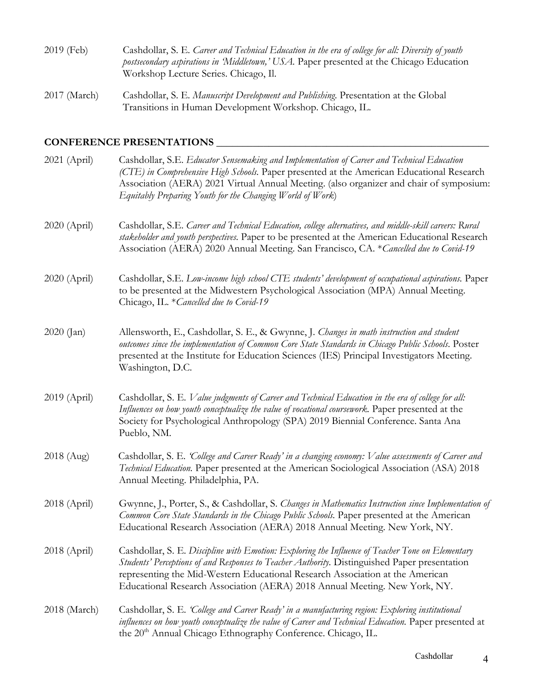| 2019 (Feb)   | Cashdollar, S. E. Career and Technical Education in the era of college for all: Diversity of youth<br>postsecondary aspirations in Middletown,' USA. Paper presented at the Chicago Education<br>Workshop Lecture Series. Chicago, Il. |
|--------------|----------------------------------------------------------------------------------------------------------------------------------------------------------------------------------------------------------------------------------------|
| 2017 (March) | Cashdollar, S. E. Manuscript Development and Publishing. Presentation at the Global<br>Transitions in Human Development Workshop. Chicago, IL.                                                                                         |

# **CONFERENCE PRESENTATIONS \_\_\_\_\_\_\_\_\_\_\_\_\_\_\_\_\_\_\_**\_\_\_\_\_\_\_\_\_\_\_\_\_\_\_\_\_\_\_\_\_\_\_\_\_\_\_\_\_\_\_\_\_

| 2021 (April) | Cashdollar, S.E. Educator Sensemaking and Implementation of Career and Technical Education<br>(CTE) in Comprehensive High Schools. Paper presented at the American Educational Research<br>Association (AERA) 2021 Virtual Annual Meeting. (also organizer and chair of symposium:<br>Equitably Preparing Youth for the Changing World of Work)                  |
|--------------|------------------------------------------------------------------------------------------------------------------------------------------------------------------------------------------------------------------------------------------------------------------------------------------------------------------------------------------------------------------|
| 2020 (April) | Cashdollar, S.E. Career and Technical Education, college alternatives, and middle-skill careers: Rural<br>stakeholder and youth perspectives. Paper to be presented at the American Educational Research<br>Association (AERA) 2020 Annual Meeting. San Francisco, CA. * Cancelled due to Covid-19                                                               |
| 2020 (April) | Cashdollar, S.E. Low-income high school CTE students' development of occupational aspirations. Paper<br>to be presented at the Midwestern Psychological Association (MPA) Annual Meeting.<br>Chicago, IL. * Cancelled due to Covid-19                                                                                                                            |
| 2020 (Jan)   | Allensworth, E., Cashdollar, S. E., & Gwynne, J. Changes in math instruction and student<br>outcomes since the implementation of Common Core State Standards in Chicago Public Schools. Poster<br>presented at the Institute for Education Sciences (IES) Principal Investigators Meeting.<br>Washington, D.C.                                                   |
| 2019 (April) | Cashdollar, S. E. Value judgments of Career and Technical Education in the era of college for all:<br>Influences on how youth conceptualize the value of vocational coursework. Paper presented at the<br>Society for Psychological Anthropology (SPA) 2019 Biennial Conference. Santa Ana<br>Pueblo, NM.                                                        |
| 2018 (Aug)   | Cashdollar, S. E. 'College and Career Ready' in a changing economy: Value assessments of Career and<br>Technical Education. Paper presented at the American Sociological Association (ASA) 2018<br>Annual Meeting. Philadelphia, PA.                                                                                                                             |
| 2018 (April) | Gwynne, J., Porter, S., & Cashdollar, S. Changes in Mathematics Instruction since Implementation of<br>Common Core State Standards in the Chicago Public Schools. Paper presented at the American<br>Educational Research Association (AERA) 2018 Annual Meeting. New York, NY.                                                                                  |
| 2018 (April) | Cashdollar, S. E. Discipline with Emotion: Exploring the Influence of Teacher Tone on Elementary<br>Students' Perceptions of and Responses to Teacher Authority. Distinguished Paper presentation<br>representing the Mid-Western Educational Research Association at the American<br>Educational Research Association (AERA) 2018 Annual Meeting. New York, NY. |
| 2018 (March) | Cashdollar, S. E. 'College and Career Ready' in a manufacturing region: Exploring institutional<br>influences on how youth conceptualize the value of Career and Technical Education. Paper presented at<br>the 20 <sup>th</sup> Annual Chicago Ethnography Conference. Chicago, IL.                                                                             |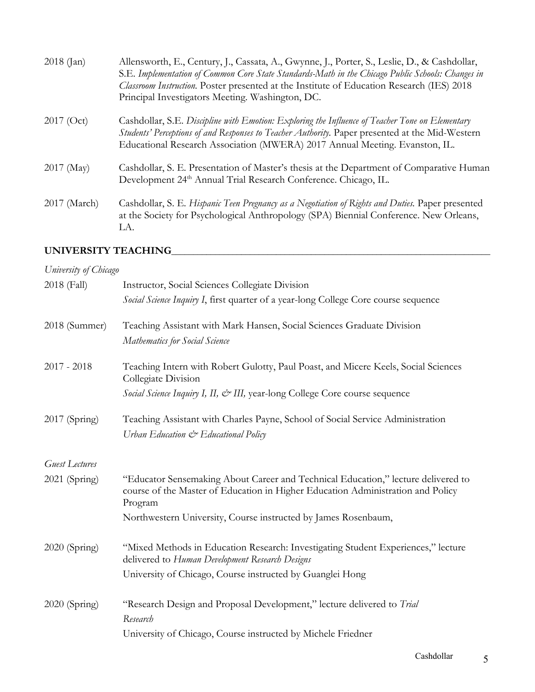| $2018$ (Jan)   | Allensworth, E., Century, J., Cassata, A., Gwynne, J., Porter, S., Leslie, D., & Cashdollar,<br>S.E. Implementation of Common Core State Standards-Math in the Chicago Public Schools: Changes in<br>Classroom Instruction. Poster presented at the Institute of Education Research (IES) 2018<br>Principal Investigators Meeting. Washington, DC. |
|----------------|----------------------------------------------------------------------------------------------------------------------------------------------------------------------------------------------------------------------------------------------------------------------------------------------------------------------------------------------------|
| $2017$ (Oct)   | Cashdollar, S.E. Discipline with Emotion: Exploring the Influence of Teacher Tone on Elementary<br>Students' Perceptions of and Responses to Teacher Authority. Paper presented at the Mid-Western<br>Educational Research Association (MWERA) 2017 Annual Meeting. Evanston, IL.                                                                  |
| $2017 \ (May)$ | Cashdollar, S. E. Presentation of Master's thesis at the Department of Comparative Human<br>Development 24 <sup>th</sup> Annual Trial Research Conference. Chicago, IL.                                                                                                                                                                            |
| 2017 (March)   | Cashdollar, S. E. Hispanic Teen Pregnancy as a Negotiation of Rights and Duties. Paper presented<br>at the Society for Psychological Anthropology (SPA) Biennial Conference. New Orleans,<br>LA.                                                                                                                                                   |

# **UNIVERSITY TEACHING**\_\_\_\_\_\_\_\_\_\_\_\_\_\_\_\_\_\_\_\_\_\_\_\_\_\_\_\_\_\_\_\_\_\_\_\_\_\_\_\_\_\_\_\_\_\_\_\_\_\_\_\_\_\_\_\_\_\_\_\_\_\_\_\_\_\_\_\_\_\_\_\_\_

| University of Chicago |                                                                                                                                                                                 |
|-----------------------|---------------------------------------------------------------------------------------------------------------------------------------------------------------------------------|
| 2018 (Fall)           | Instructor, Social Sciences Collegiate Division                                                                                                                                 |
|                       | Social Science Inquiry I, first quarter of a year-long College Core course sequence                                                                                             |
| 2018 (Summer)         | Teaching Assistant with Mark Hansen, Social Sciences Graduate Division                                                                                                          |
|                       | Mathematics for Social Science                                                                                                                                                  |
| $2017 - 2018$         | Teaching Intern with Robert Gulotty, Paul Poast, and Micere Keels, Social Sciences<br>Collegiate Division                                                                       |
|                       | Social Science Inquiry I, II, & III, year-long College Core course sequence                                                                                                     |
| 2017 (Spring)         | Teaching Assistant with Charles Payne, School of Social Service Administration                                                                                                  |
|                       | Urban Education & Educational Policy                                                                                                                                            |
| Guest Lectures        |                                                                                                                                                                                 |
| 2021 (Spring)         | "Educator Sensemaking About Career and Technical Education," lecture delivered to<br>course of the Master of Education in Higher Education Administration and Policy<br>Program |
|                       | Northwestern University, Course instructed by James Rosenbaum,                                                                                                                  |
| 2020 (Spring)         | "Mixed Methods in Education Research: Investigating Student Experiences," lecture<br>delivered to Human Development Research Designs                                            |
|                       | University of Chicago, Course instructed by Guanglei Hong                                                                                                                       |
| 2020 (Spring)         | "Research Design and Proposal Development," lecture delivered to Trial                                                                                                          |
|                       | Research                                                                                                                                                                        |
|                       | University of Chicago, Course instructed by Michele Friedner                                                                                                                    |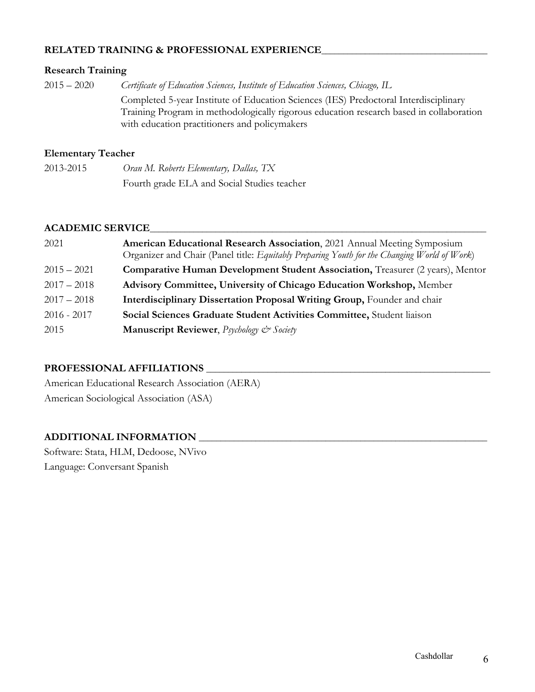## **RELATED TRAINING & PROFESSIONAL EXPERIENCE**\_\_\_\_\_\_\_\_\_\_\_\_\_\_\_\_\_\_\_\_\_\_\_\_\_\_\_\_\_\_\_\_\_\_\_\_\_\_

### **Research Training**

2015 – 2020 *Certificate of Education Sciences, Institute of Education Sciences, Chicago, IL* Completed 5-year Institute of Education Sciences (IES) Predoctoral Interdisciplinary Training Program in methodologically rigorous education research based in collaboration with education practitioners and policymakers

# **Elementary Teacher**

| 2013-2015 | Oran M. Roberts Elementary, Dallas, TX      |
|-----------|---------------------------------------------|
|           | Fourth grade ELA and Social Studies teacher |

### **ACADEMIC SERVICE**\_\_\_\_\_\_\_\_\_\_\_\_\_\_\_\_\_\_\_\_\_\_\_\_\_\_\_\_\_\_\_\_\_\_\_\_\_\_\_\_\_\_\_\_\_\_\_\_\_\_\_\_\_\_\_\_\_\_\_\_\_\_\_\_\_\_\_\_\_\_\_\_\_\_\_\_\_

| 2021          | American Educational Research Association, 2021 Annual Meeting Symposium<br>Organizer and Chair (Panel title: Equitably Preparing Youth for the Changing World of Work) |
|---------------|-------------------------------------------------------------------------------------------------------------------------------------------------------------------------|
| $2015 - 2021$ | <b>Comparative Human Development Student Association, Treasurer (2 years), Mentor</b>                                                                                   |
| $2017 - 2018$ | <b>Advisory Committee, University of Chicago Education Workshop, Member</b>                                                                                             |
| $2017 - 2018$ | <b>Interdisciplinary Dissertation Proposal Writing Group, Founder and chair</b>                                                                                         |
| $2016 - 2017$ | Social Sciences Graduate Student Activities Committee, Student liaison                                                                                                  |
| 2015          | <b>Manuscript Reviewer</b> , <i>Psychology &amp; Society</i>                                                                                                            |

# **PROFESSIONAL AFFILIATIONS** \_\_\_\_\_\_\_\_\_\_\_\_\_\_\_\_\_\_\_\_\_\_\_\_\_\_\_\_\_\_\_\_\_\_\_\_\_\_\_\_\_\_\_\_\_\_\_\_\_\_\_\_\_\_\_\_\_\_\_\_\_\_\_\_\_

American Educational Research Association (AERA) American Sociological Association (ASA)

# **ADDITIONAL INFORMATION** \_\_\_\_\_\_\_\_\_\_\_\_\_\_\_\_\_\_\_\_\_\_\_\_\_\_\_\_\_\_\_\_\_\_\_\_\_\_\_\_\_\_\_\_\_\_\_\_\_\_\_\_\_\_\_\_\_\_\_\_\_\_\_\_\_\_

Software: Stata, HLM, Dedoose, NVivo Language: Conversant Spanish